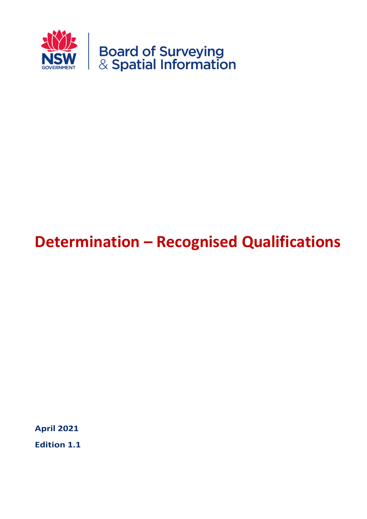

# **Determination – Recognised Qualifications**

**April 2021**

**Edition 1.1**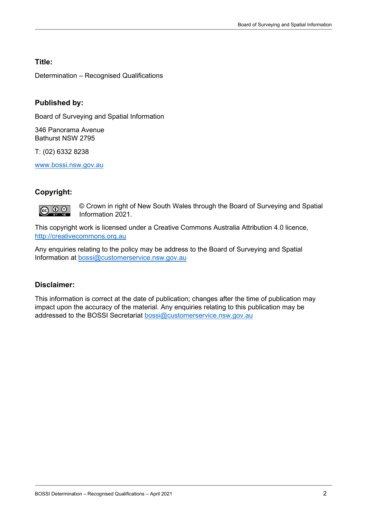### **Title:**

Determination – Recognised Qualifications

### **Published by:**

Board of Surveying and Spatial Information

346 Panorama Avenue Bathurst NSW 2795

T: (02) 6332 8238

[www.bossi.nsw.gov.au](http://www.bossi.nsw.gov.au/)

### **Copyright:**



© Crown in right of New South Wales through the Board of Surveying and Spatial Information 2021.

This copyright work is licensed under a Creative Commons Australia Attribution 4.0 licence, [http://creativecommons.org.au](http://creativecommons.org.au/)

Any enquiries relating to the policy may be address to the Board of Surveying and Spatial Information at [bossi@customerservice.nsw.gov.au](mailto:bossi@customerservice.nsw.gov.au)

#### **Disclaimer:**

This information is correct at the date of publication; changes after the time of publication may impact upon the accuracy of the material. Any enquiries relating to this publication may be addressed to the BOSSI Secretariat [bossi@customerservice.nsw.gov.au](mailto:bossi@customerservice.nsw.gov.au)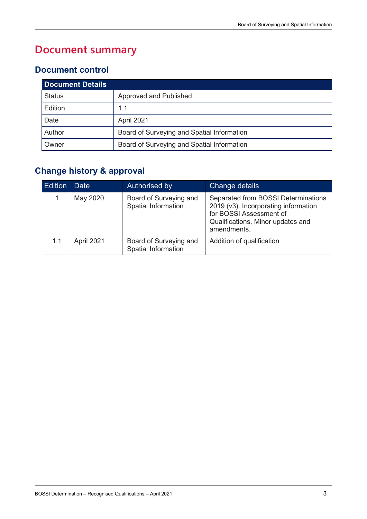# **Document summary**

### **Document control**

| <b>Document Details</b> |                                            |  |  |
|-------------------------|--------------------------------------------|--|--|
| <b>Status</b>           | Approved and Published                     |  |  |
| Edition                 | 1.1                                        |  |  |
| Date                    | April 2021                                 |  |  |
| Author                  | Board of Surveying and Spatial Information |  |  |
| Owner                   | Board of Surveying and Spatial Information |  |  |

## **Change history & approval**

| <b>Edition</b> | <b>Date</b> | Authorised by                                 | Change details                                                                                                                                             |
|----------------|-------------|-----------------------------------------------|------------------------------------------------------------------------------------------------------------------------------------------------------------|
|                | May 2020    | Board of Surveying and<br>Spatial Information | Separated from BOSSI Determinations<br>2019 (v3). Incorporating information<br>for BOSSI Assessment of<br>Qualifications. Minor updates and<br>amendments. |
| 1.1            | April 2021  | Board of Surveying and<br>Spatial Information | Addition of qualification                                                                                                                                  |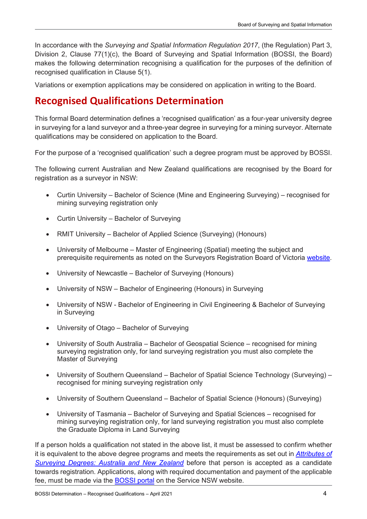In accordance with the *Surveying and Spatial Information Regulation 2017*, (the Regulation) Part 3, Division 2, Clause 77(1)(c), the Board of Surveying and Spatial Information (BOSSI, the Board) makes the following determination recognising a qualification for the purposes of the definition of recognised qualification in Clause 5(1).

Variations or exemption applications may be considered on application in writing to the Board.

# **Recognised Qualifications Determination**

This formal Board determination defines a 'recognised qualification' as a four-year university degree in surveying for a land surveyor and a three-year degree in surveying for a mining surveyor. Alternate qualifications may be considered on application to the Board.

For the purpose of a 'recognised qualification' such a degree program must be approved by BOSSI.

The following current Australian and New Zealand qualifications are recognised by the Board for registration as a surveyor in NSW:

- Curtin University Bachelor of Science (Mine and Engineering Surveying) recognised for mining surveying registration only
- Curtin University Bachelor of Surveying
- RMIT University Bachelor of Applied Science (Surveying) (Honours)
- University of Melbourne Master of Engineering (Spatial) meeting the subject and prerequisite requirements as noted on the Surveyors Registration Board of Victoria [website.](https://www.surveyorsboard.vic.gov.au/content/108/obtaining-registration.aspx)
- University of Newcastle Bachelor of Surveying (Honours)
- University of NSW Bachelor of Engineering (Honours) in Surveying
- University of NSW Bachelor of Engineering in Civil Engineering & Bachelor of Surveying in Surveying
- University of Otago Bachelor of Surveying
- University of South Australia Bachelor of Geospatial Science recognised for mining surveying registration only, for land surveying registration you must also complete the Master of Surveying
- University of Southern Queensland Bachelor of Spatial Science Technology (Surveying) recognised for mining surveying registration only
- University of Southern Queensland Bachelor of Spatial Science (Honours) (Surveying)
- University of Tasmania Bachelor of Surveying and Spatial Sciences recognised for mining surveying registration only, for land surveying registration you must also complete the Graduate Diploma in Land Surveying

If a person holds a qualification not stated in the above list, it must be assessed to confirm whether it is equivalent to the above degree programs and meets the requirements as set out in *[Attributes of](https://www.bossi.nsw.gov.au/__data/assets/pdf_file/0007/185749/Attributes_of_a_Surveying_Degree.pdf)  [Surveying Degrees: Australia and New Zealand](https://www.bossi.nsw.gov.au/__data/assets/pdf_file/0007/185749/Attributes_of_a_Surveying_Degree.pdf)* before that person is accepted as a candidate towards registration. Applications, along with required documentation and payment of the applicable fee, must be made via the **BOSSI portal** on the Service NSW website.